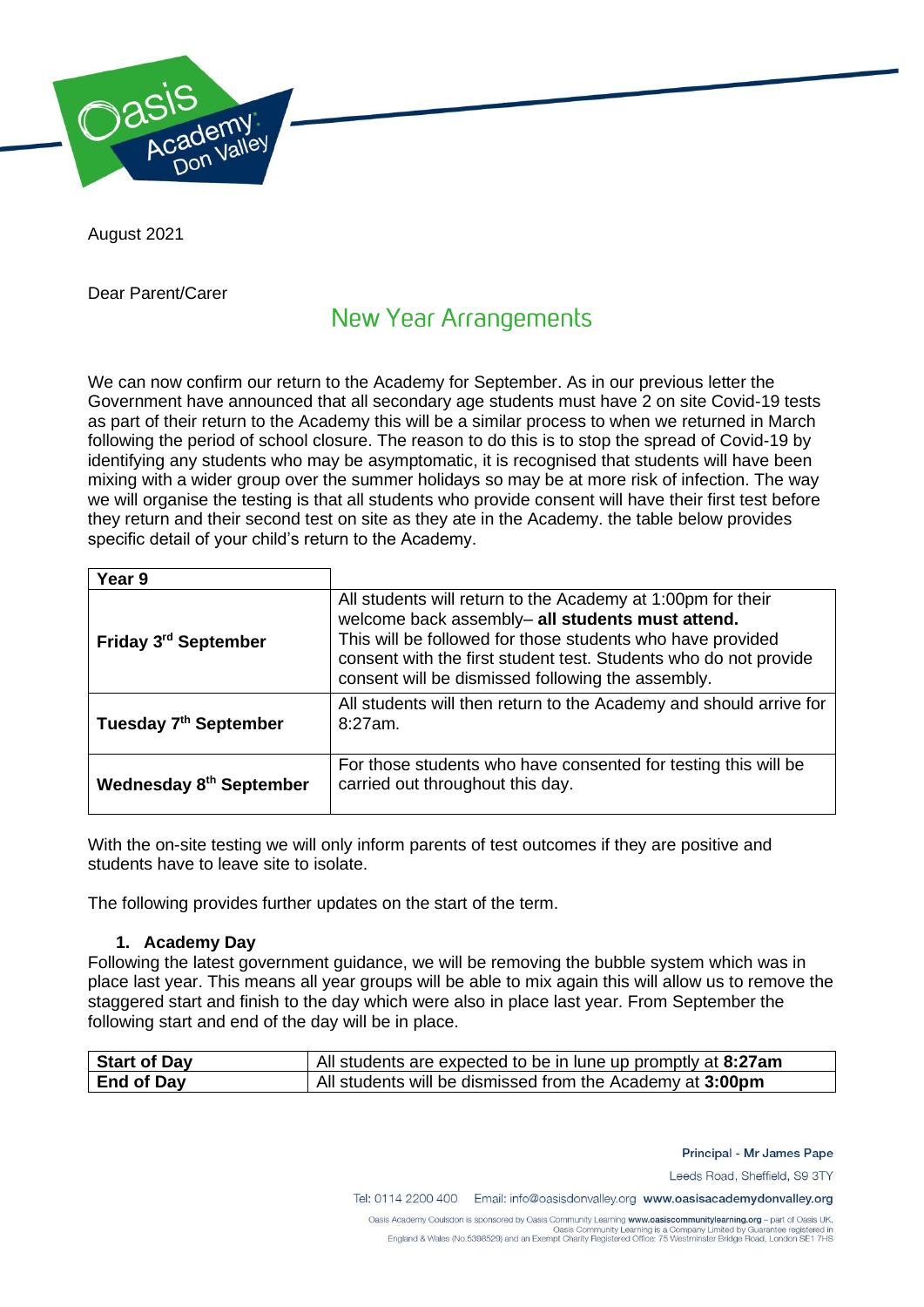

August 2021

Dear Parent/Carer

# **New Year Arrangements**

We can now confirm our return to the Academy for September. As in our previous letter the Government have announced that all secondary age students must have 2 on site Covid-19 tests as part of their return to the Academy this will be a similar process to when we returned in March following the period of school closure. The reason to do this is to stop the spread of Covid-19 by identifying any students who may be asymptomatic, it is recognised that students will have been mixing with a wider group over the summer holidays so may be at more risk of infection. The way we will organise the testing is that all students who provide consent will have their first test before they return and their second test on site as they ate in the Academy. the table below provides specific detail of your child's return to the Academy.

| Year 9                            |                                                                                                                                                                                                                                                                                                        |
|-----------------------------------|--------------------------------------------------------------------------------------------------------------------------------------------------------------------------------------------------------------------------------------------------------------------------------------------------------|
| Friday 3 <sup>rd</sup> September  | All students will return to the Academy at 1:00pm for their<br>welcome back assembly- all students must attend.<br>This will be followed for those students who have provided<br>consent with the first student test. Students who do not provide<br>consent will be dismissed following the assembly. |
| Tuesday 7 <sup>th</sup> September | All students will then return to the Academy and should arrive for<br>8:27am.                                                                                                                                                                                                                          |
| Wednesday 8th September           | For those students who have consented for testing this will be<br>carried out throughout this day.                                                                                                                                                                                                     |

With the on-site testing we will only inform parents of test outcomes if they are positive and students have to leave site to isolate.

The following provides further updates on the start of the term.

## **1. Academy Day**

Following the latest government guidance, we will be removing the bubble system which was in place last year. This means all year groups will be able to mix again this will allow us to remove the staggered start and finish to the day which were also in place last year. From September the following start and end of the day will be in place.

| Start of Day | All students are expected to be in lune up promptly at 8:27am |
|--------------|---------------------------------------------------------------|
| End of Day   | All students will be dismissed from the Academy at 3:00pm     |

Principal - Mr James Pape

Leeds Road, Sheffield, S9 3TY

Tel: 0114 2200 400 Email: info@oasisdonvalley.org www.oasisacademydonvalley.org

Oasis Academy Coulsdon is sponsored by Oasis Community Learning www.oasiscommunitylearning.org - part of Oasis UK. Oasis Community Learning is a Company Limited by Guarantee registered in<br>England & Wales (No.5398529) and an Exempt Charity Registered Office: 75 Westminster Bridge Road, London SE1 7HS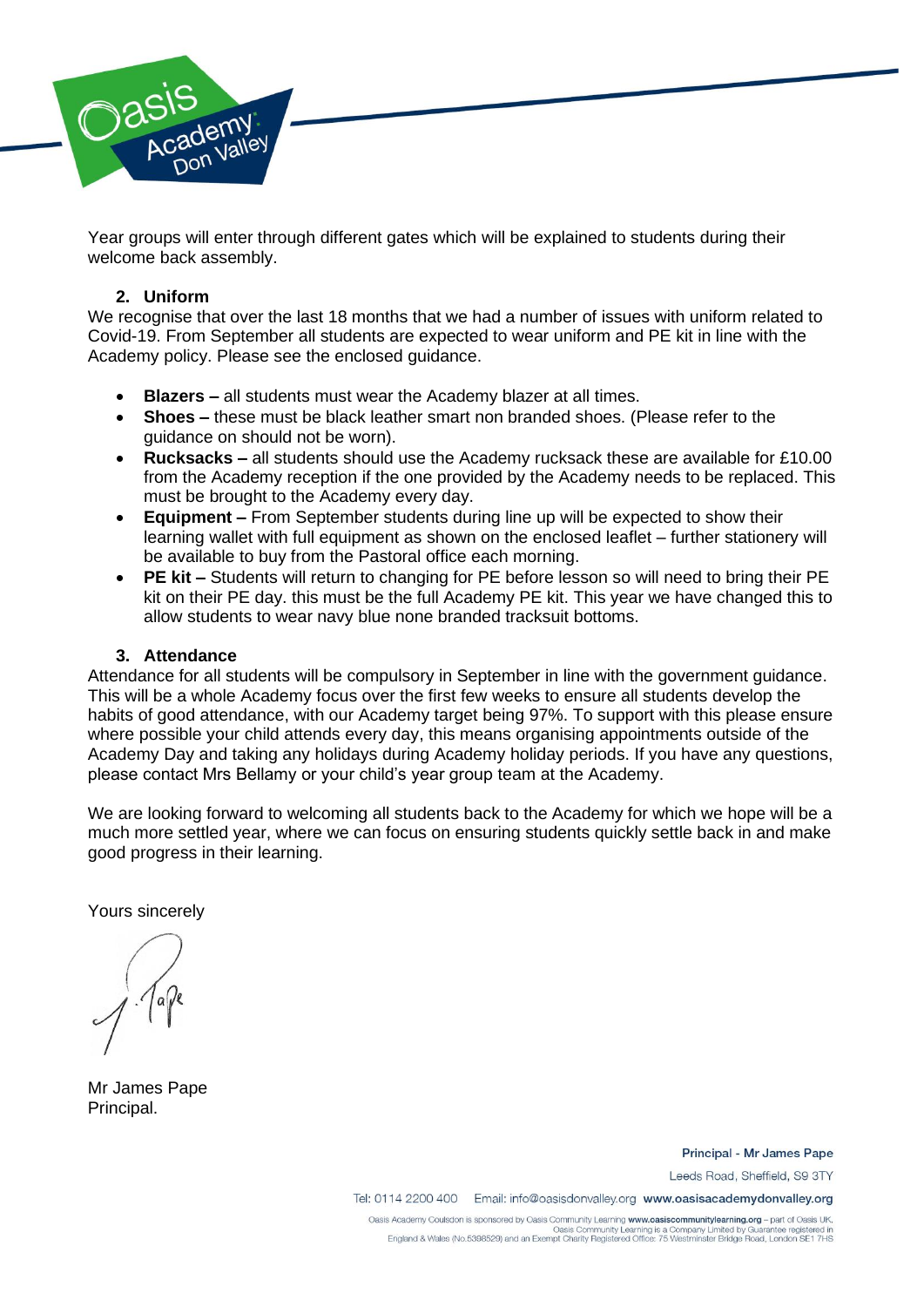

Year groups will enter through different gates which will be explained to students during their welcome back assembly.

### **2. Uniform**

We recognise that over the last 18 months that we had a number of issues with uniform related to Covid-19. From September all students are expected to wear uniform and PE kit in line with the Academy policy. Please see the enclosed guidance.

- **Blazers –** all students must wear the Academy blazer at all times.
- **Shoes** these must be black leather smart non branded shoes. (Please refer to the guidance on should not be worn).
- **Rucksacks –** all students should use the Academy rucksack these are available for £10.00 from the Academy reception if the one provided by the Academy needs to be replaced. This must be brought to the Academy every day.
- **Equipment –** From September students during line up will be expected to show their learning wallet with full equipment as shown on the enclosed leaflet – further stationery will be available to buy from the Pastoral office each morning.
- **PE kit –** Students will return to changing for PE before lesson so will need to bring their PE kit on their PE day. this must be the full Academy PE kit. This year we have changed this to allow students to wear navy blue none branded tracksuit bottoms.

### **3. Attendance**

Attendance for all students will be compulsory in September in line with the government guidance. This will be a whole Academy focus over the first few weeks to ensure all students develop the habits of good attendance, with our Academy target being 97%. To support with this please ensure where possible your child attends every day, this means organising appointments outside of the Academy Day and taking any holidays during Academy holiday periods. If you have any questions, please contact Mrs Bellamy or your child's year group team at the Academy.

We are looking forward to welcoming all students back to the Academy for which we hope will be a much more settled year, where we can focus on ensuring students quickly settle back in and make good progress in their learning.

Yours sincerely

Mr James Pape Principal.

Principal - Mr James Pape

Leeds Road, Sheffield, S9 3TY

Tel: 0114 2200 400 Email: info@oasisdonvalley.org www.oasisacademydonvalley.org

Oasis Academy Coulsdon is sponsored by Oasis Community Learning www.oasiscommunitylearning.org - part of Oasis UK. Oasis Community Learning is a Company Limited by Guarantee registered in<br>England & Wales (No.5398529) and an Exempt Charity Registered Office: 75 Westminster Bridge Road, London SE1 7HS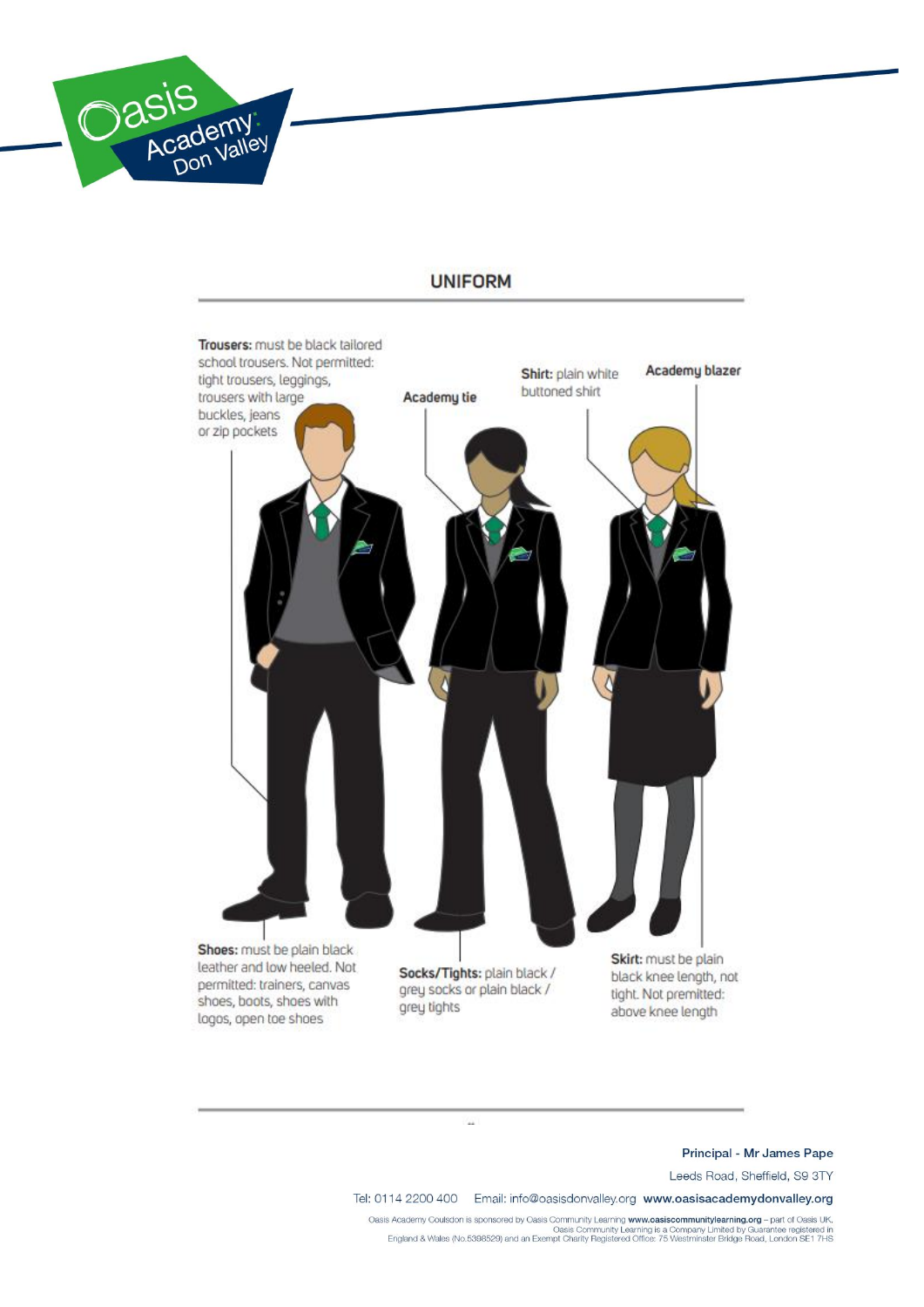

# Trousers: must be black tailored school trousers. Not permitted: Academu blazer Shirt: plain white tight trousers, leggings, buttoned shirt trousers with large Academy tie buckles, jeans or zip pockets Shoes: must be plain black Skirt: must be plain leather and low heeled. Not Socks/Tights: plain black / black knee length, not permitted: trainers, canvas grey socks or plain black / tight. Not premitted: shoes, boots, shoes with grey tights above knee length logos, open toe shoes

V.

## **UNIFORM**

#### Principal - Mr James Pape

Leeds Road, Sheffield, S9 3TY

Tel: 0114 2200 400 Email: info@oasisdonvalley.org www.oasisacademydonvalley.org

.Oasis Academy Coulsdon is sponsored by Oasis Community Learning www.oasiscommunitylearning.org - part of Oasis UK<br>Oasis Community Learning is a Company Limited by Guarantee registered in<br>England & Wales (No.5398529) and a